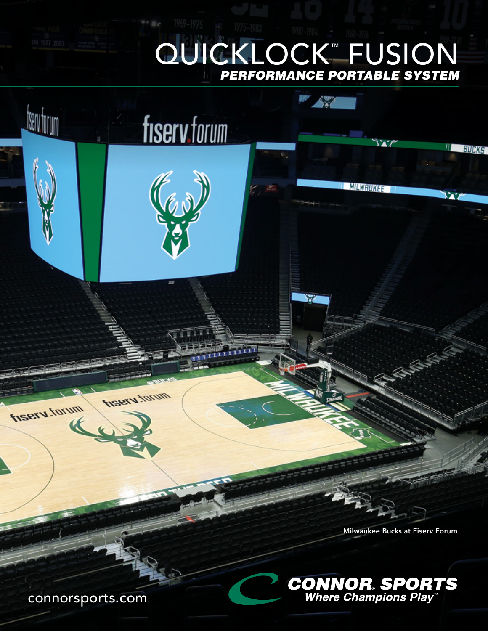## QUICKLOCK™ FUSION PERFORMANCE PORTABLE SYSTEM ™

fiserv forum

(Car)

 $\mathcal{L}_{\delta}^{xy}$ 

**MILWRUKEE** 

Milwaukee Bucks at Fiserv Forum

II BUCKS

w



connorsports.com

**Inserv**.tor

<u>tserv forum</u>

fisery.torum